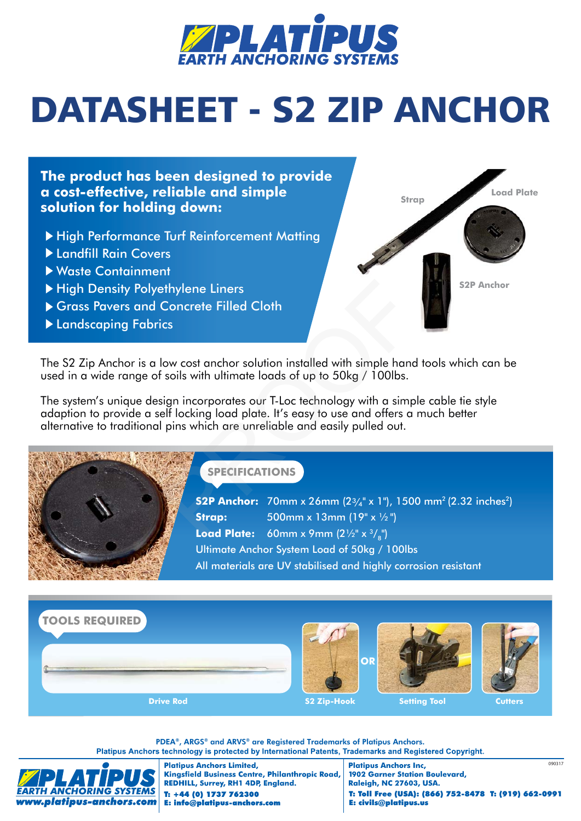

## DATASHEET - S2 ZIP ANCHOR

**The product has been designed to provide a cost-effective, reliable and simple solution for holding down:**

- ▶ High Performance Turf Reinforcement Matting
- Landfill Rain Covers
- Waste Containment
- High Density Polyethylene Liners
- Grass Pavers and Concrete Filled Cloth
- Landscaping Fabrics



The S2 Zip Anchor is a low cost anchor solution installed with simple hand tools which can be used in a wide range of soils with ultimate loads of up to 50kg / 100lbs.

The system's unique design incorporates our T-Loc technology with a simple cable tie style adaption to provide a self locking load plate. It's easy to use and offers a much better alternative to traditional pins which are unreliable and easily pulled out.



## **SPECIFICATIONS**

**S2P Anchor:** 70mm x 26mm (23/4" x 1"), 1500 mm<sup>2</sup> (2.32 inches<sup>2</sup>) **Strap:** 500mm x 13mm (19" x 1/2") **Load Plate:** 60mm x 9mm (2½" x 3/<sub>8</sub>") Ultimate Anchor System Load of 50kg / 100lbs All materials are UV stabilised and highly corrosion resistant example Interst<br>
Soncrete Filled Cloth<br>
Ics<br>
Ics low cost anchor solution installed with simple hand<br>
soils with ultimate loads of up to 50kg / 100lbs.<br>
Sign incorporates our T-Loc technology with a simple<br>
If locking load



PDEA**®**, ARGS**®** and ARVS**®** are Registered Trademarks of Platipus Anchors. Platipus Anchors technology is protected by International Patents, Trademarks and Registered Copyright.



**Platipus Anchors Limited,** Kingsfield Business Centre, Philanthropic Road, REDHILL, Surrey, RH1 4DP, England. T: +44 (0) 1737 762300 E: info@platipus-anchors.com

090317 **Platipus Anchors Inc, 1902 Garner Station Boulevard, Raleigh, NC 27603, USA.** T: Toll Free (USA): (866) 752-8478 T: (919) 662-0991 E: civils@platipus.us